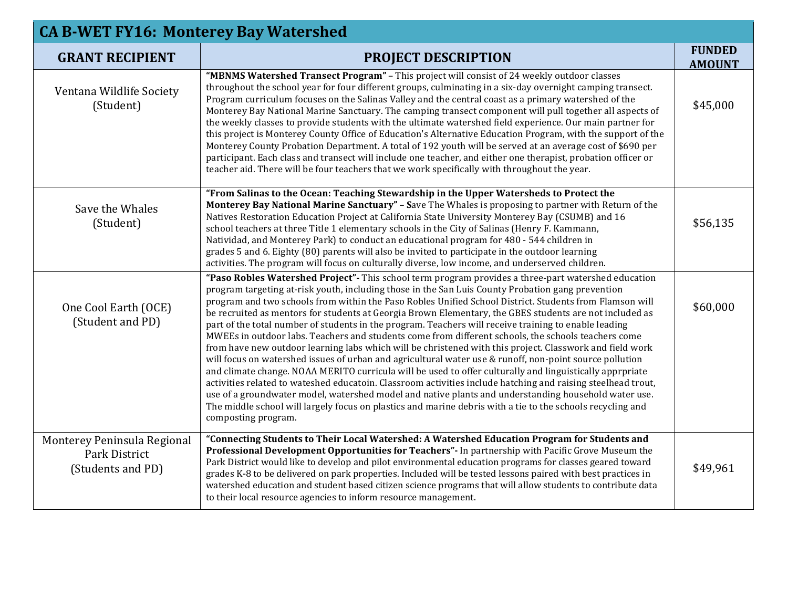| <b>CA B-WET FY16: Monterey Bay Watershed</b>                      |                                                                                                                                                                                                                                                                                                                                                                                                                                                                                                                                                                                                                                                                                                                                                                                                                                                                                                                                                                                                                                                                                                                                                                                                                                                                                                                                                |                                |  |
|-------------------------------------------------------------------|------------------------------------------------------------------------------------------------------------------------------------------------------------------------------------------------------------------------------------------------------------------------------------------------------------------------------------------------------------------------------------------------------------------------------------------------------------------------------------------------------------------------------------------------------------------------------------------------------------------------------------------------------------------------------------------------------------------------------------------------------------------------------------------------------------------------------------------------------------------------------------------------------------------------------------------------------------------------------------------------------------------------------------------------------------------------------------------------------------------------------------------------------------------------------------------------------------------------------------------------------------------------------------------------------------------------------------------------|--------------------------------|--|
| <b>GRANT RECIPIENT</b>                                            | <b>PROJECT DESCRIPTION</b>                                                                                                                                                                                                                                                                                                                                                                                                                                                                                                                                                                                                                                                                                                                                                                                                                                                                                                                                                                                                                                                                                                                                                                                                                                                                                                                     | <b>FUNDED</b><br><b>AMOUNT</b> |  |
| Ventana Wildlife Society<br>(Student)                             | "MBNMS Watershed Transect Program" - This project will consist of 24 weekly outdoor classes<br>throughout the school year for four different groups, culminating in a six-day overnight camping transect.<br>Program curriculum focuses on the Salinas Valley and the central coast as a primary watershed of the<br>Monterey Bay National Marine Sanctuary. The camping transect component will pull together all aspects of<br>the weekly classes to provide students with the ultimate watershed field experience. Our main partner for<br>this project is Monterey County Office of Education's Alternative Education Program, with the support of the<br>Monterey County Probation Department. A total of 192 youth will be served at an average cost of \$690 per<br>participant. Each class and transect will include one teacher, and either one therapist, probation officer or<br>teacher aid. There will be four teachers that we work specifically with throughout the year.                                                                                                                                                                                                                                                                                                                                                       | \$45,000                       |  |
| Save the Whales<br>(Student)                                      | "From Salinas to the Ocean: Teaching Stewardship in the Upper Watersheds to Protect the<br>Monterey Bay National Marine Sanctuary" - Save The Whales is proposing to partner with Return of the<br>Natives Restoration Education Project at California State University Monterey Bay (CSUMB) and 16<br>school teachers at three Title 1 elementary schools in the City of Salinas (Henry F. Kammann,<br>Natividad, and Monterey Park) to conduct an educational program for 480 - 544 children in<br>grades 5 and 6. Eighty (80) parents will also be invited to participate in the outdoor learning<br>activities. The program will focus on culturally diverse, low income, and underserved children.                                                                                                                                                                                                                                                                                                                                                                                                                                                                                                                                                                                                                                        | \$56,135                       |  |
| One Cool Earth (OCE)<br>(Student and PD)                          | "Paso Robles Watershed Project"- This school term program provides a three-part watershed education<br>program targeting at-risk youth, including those in the San Luis County Probation gang prevention<br>program and two schools from within the Paso Robles Unified School District. Students from Flamson will<br>be recruited as mentors for students at Georgia Brown Elementary, the GBES students are not included as<br>part of the total number of students in the program. Teachers will receive training to enable leading<br>MWEEs in outdoor labs. Teachers and students come from different schools, the schools teachers come<br>from have new outdoor learning labs which will be christened with this project. Classwork and field work<br>will focus on watershed issues of urban and agricultural water use & runoff, non-point source pollution<br>and climate change. NOAA MERITO curricula will be used to offer culturally and linguistically apprpriate<br>activities related to wateshed educatoin. Classroom activities include hatching and raising steelhead trout,<br>use of a groundwater model, watershed model and native plants and understanding household water use.<br>The middle school will largely focus on plastics and marine debris with a tie to the schools recycling and<br>composting program. | \$60,000                       |  |
| Monterey Peninsula Regional<br>Park District<br>(Students and PD) | "Connecting Students to Their Local Watershed: A Watershed Education Program for Students and<br>Professional Development Opportunities for Teachers"- In partnership with Pacific Grove Museum the<br>Park District would like to develop and pilot environmental education programs for classes geared toward<br>grades K-8 to be delivered on park properties. Included will be tested lessons paired with best practices in<br>watershed education and student based citizen science programs that will allow students to contribute data<br>to their local resource agencies to inform resource management.                                                                                                                                                                                                                                                                                                                                                                                                                                                                                                                                                                                                                                                                                                                               | \$49,961                       |  |